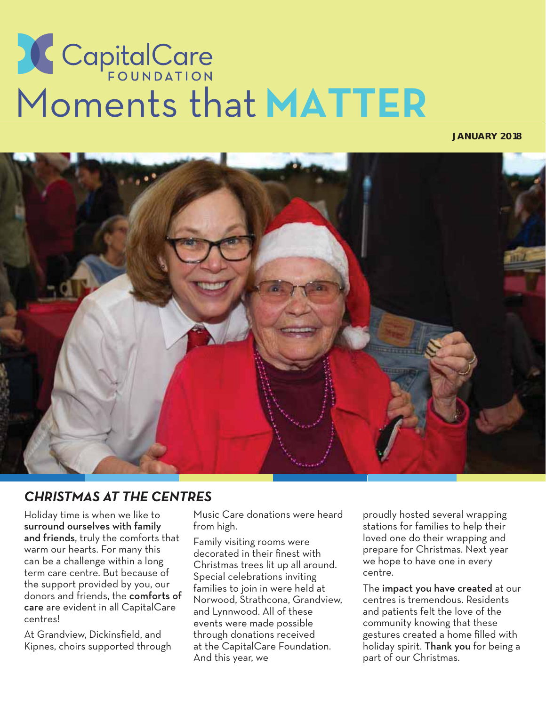# **COPINDATION**<br>Moments that MATTER

#### **JANUARY 2018**



#### *CHRISTMAS AT THE CENTRES*

Holiday time is when we like to surround ourselves with family and friends, truly the comforts that warm our hearts. For many this can be a challenge within a long term care centre. But because of the support provided by you, our donors and friends, the comforts of care are evident in all CapitalCare centres!

At Grandview, Dickinsfield, and Kipnes, choirs supported through Music Care donations were heard from high.

Family visiting rooms were decorated in their finest with Christmas trees lit up all around. Special celebrations inviting families to join in were held at Norwood, Strathcona, Grandview, and Lynnwood. All of these events were made possible through donations received at the CapitalCare Foundation. And this year, we

proudly hosted several wrapping stations for families to help their loved one do their wrapping and prepare for Christmas. Next year we hope to have one in every centre.

The impact you have created at our centres is tremendous. Residents and patients felt the love of the community knowing that these gestures created a home filled with holiday spirit. Thank you for being a part of our Christmas.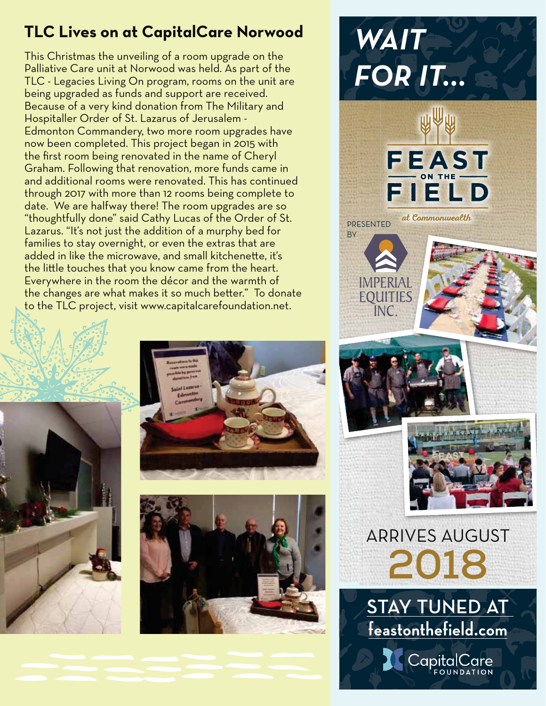## **TLC Lives on at CapitalCare Norwood**

This Christmas the unveiling of a room upgrade on the Palliative Care unit at Norwood was held. As part of the TLC - Legacies Living On program, rooms on the unit are being upgraded as funds and support are received. Because of a very kind donation from The Military and Hospitaller Order of St. Lazarus of Jerusalem - Edmonton Commandery, two more room upgrades have now been completed. This project began in 2015 with the first room being renovated in the name of Cheryl Graham. Following that renovation, more funds came in and additional rooms were renovated. This has continued through 2017 with more than 12 rooms being complete to date. We are halfway there! The room upgrades are so "thoughtfully done" said Cathy Lucas of the Order of St. Lazarus. "It's not just the addition of a murphy bed for families to stay overnight, or even the extras that are added in like the microwave, and small kitchenette, it's the little touches that you know came from the heart. Everywhere in the room the décor and the warmth of the changes are what makes it so much better." To donate to the TLC project, visit www.capitalcarefoundation.net.





## *WAIT FOR-IT* FEAST FIELD at Commonwealth PRESENTED **BY**

**FOULTIES** INC.



**2018** ARRIVES AUGUST

**STAY TUNED AT feastonthefield.com** CapitalCare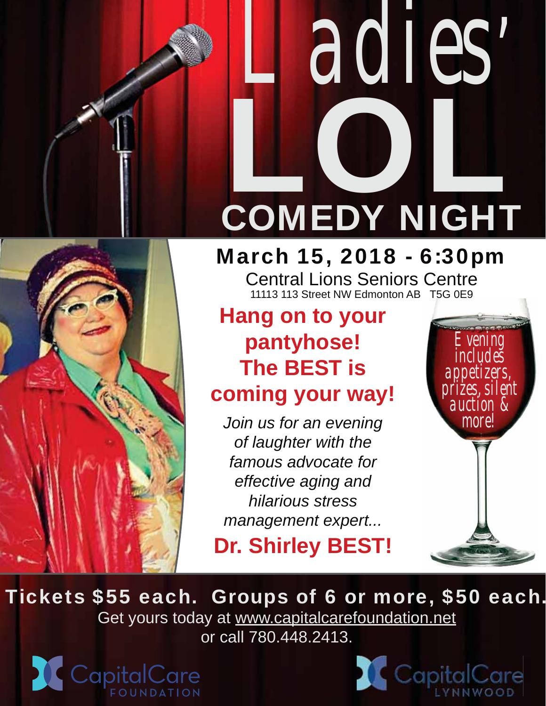## **LOLE** *Ladies'* COMEDY NIGHT

## March 15, 2018 - 6:30pm

Central Lions Seniors Centre 11113 113 Street NW Edmonton AB T5G 0E9

## **Hang on to your pantyhose! The BEST is**

## **coming your way!**

*Join us for an evening of laughter with the famous advocate for effective aging and hilarious stress management expert...*

**Dr. Shirley BEST!**



Tickets \$55 each. Groups of 6 or more, \$50 each. Get yours today at www.capitalcarefoundation.net or call 780.448.2413.



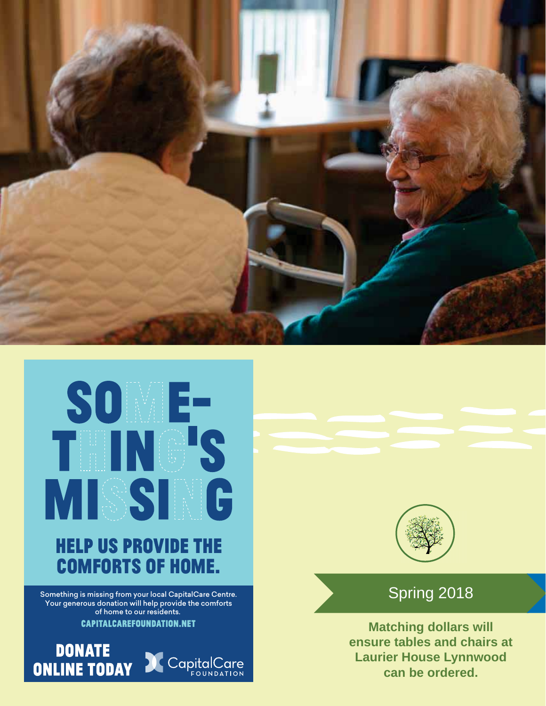



Something is missing from your local CapitalCare Centre. Your generous donation will help provide the comforts of home to our residents.

**CAPITALCAREFOUNDATION.NET** 





### Spring 2018

**Matching dollars will ensure tables and chairs at Laurier House Lynnwood can be ordered.**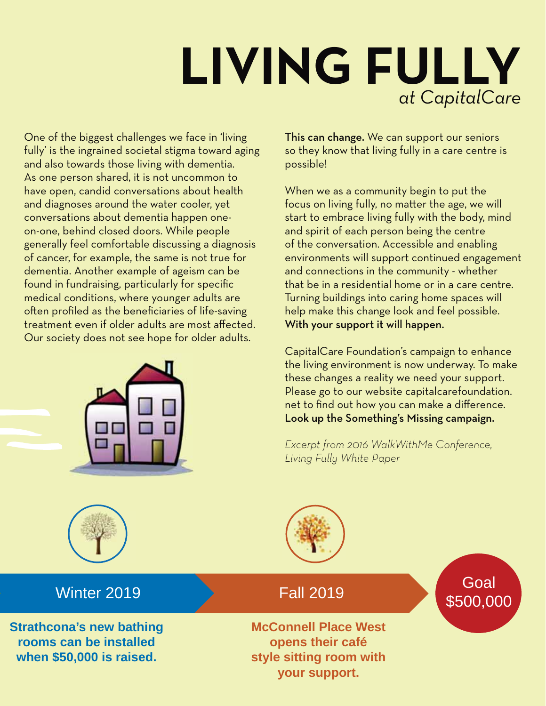## *at CapitalCare* **LIVING FULLY**

One of the biggest challenges we face in 'living fully' is the ingrained societal stigma toward aging and also towards those living with dementia. As one person shared, it is not uncommon to have open, candid conversations about health and diagnoses around the water cooler, yet conversations about dementia happen oneon-one, behind closed doors. While people generally feel comfortable discussing a diagnosis of cancer, for example, the same is not true for dementia. Another example of ageism can be found in fundraising, particularly for specific medical conditions, where younger adults are often profiled as the beneficiaries of life-saving treatment even if older adults are most affected. Our society does not see hope for older adults.



This can change. We can support our seniors so they know that living fully in a care centre is possible!

When we as a community begin to put the focus on living fully, no matter the age, we will start to embrace living fully with the body, mind and spirit of each person being the centre of the conversation. Accessible and enabling environments will support continued engagement and connections in the community - whether that be in a residential home or in a care centre. Turning buildings into caring home spaces will help make this change look and feel possible. With your support it will happen.

CapitalCare Foundation's campaign to enhance the living environment is now underway. To make these changes a reality we need your support. Please go to our website capitalcarefoundation. net to find out how you can make a difference. Look up the Something's Missing campaign.

*Excerpt from 2016 WalkWithMe Conference, Living Fully White Paper*

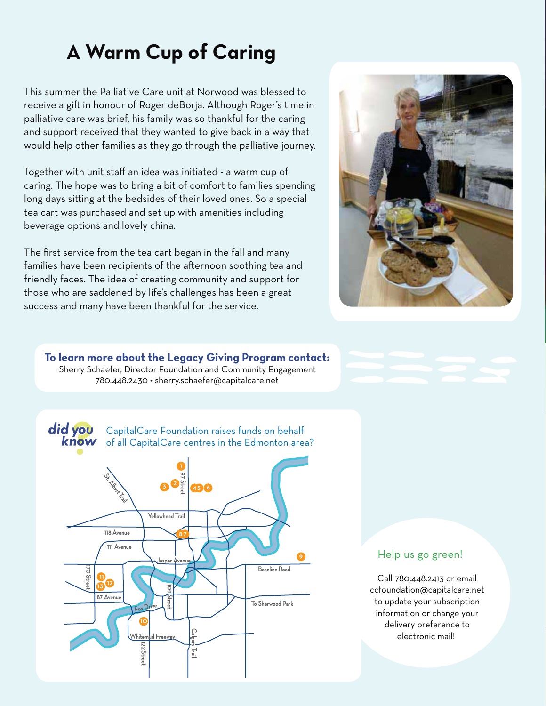## **A Warm Cup of Caring**

This summer the Palliative Care unit at Norwood was blessed to receive a gift in honour of Roger deBorja. Although Roger's time in palliative care was brief, his family was so thankful for the caring and support received that they wanted to give back in a way that would help other families as they go through the palliative journey.

Together with unit staff an idea was initiated - a warm cup of caring. The hope was to bring a bit of comfort to families spending long days sitting at the bedsides of their loved ones. So a special tea cart was purchased and set up with amenities including beverage options and lovely china.

The first service from the tea cart began in the fall and many families have been recipients of the afternoon soothing tea and friendly faces. The idea of creating community and support for those who are saddened by life's challenges has been a great success and many have been thankful for the service.







CapitalCare Foundation raises funds on behalf of all CapitalCare centres in the Edmonton area?



#### Help us go green!

Call 780.448.2413 or email ccfoundation@capitalcare.net to update your subscription information or change your delivery preference to electronic mail!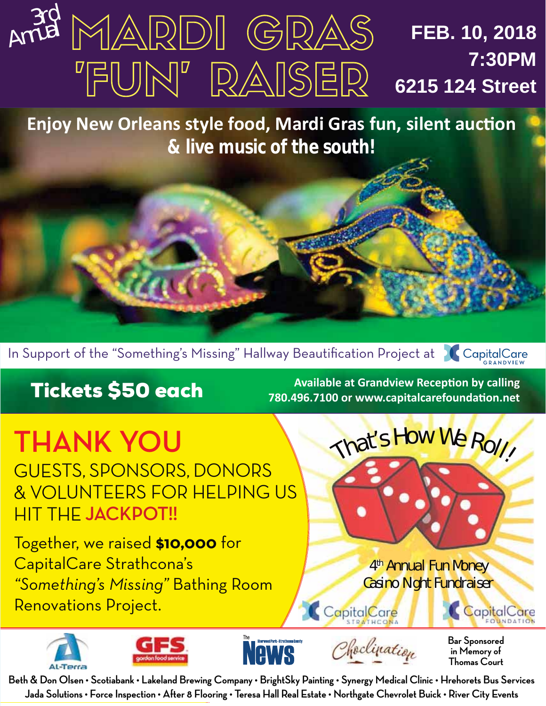#### 3rd Annual MARDI GRAS **FEB. 10, 2018 7:30PM** "FUN" RAISER **6215 124 Street**

**Enjoy New Orleans style food, Mardi Gras fun, silent auction & live music of the south!**



**THANK YOU**

GUESTS, SPONSORS, DONORS & VOLUNTEERS FOR HELPING US HIT THE **JACKPOT!!**

Together, we raised **\$10,000** for CapitalCare Strathcona's *"Something's Missing"* Bathing Room Renovations Project.

**Tickets \$50 each**<br>180.496.7100 or www.capitalcarefoundation.net 780.496.7100 or www.capitalcarefoundation.net

4<sup>th</sup> Annual Fun Money Casino Night Fundraiser

That's How We Roll!



CapitalCare

**Bar Sponsored in Memory of Thomas Court**

CapitalCare

**Beth & Don Olsen • Scotiabank • Lakeland Brewing Company • BrightSky Painting • Synergy Medical Clinic • Hrehorets Bus Services Jada Solutions • Force Inspection • After 8 Flooring • Teresa Hall Real Estate • Northgate Chevrolet Buick • River City Events**